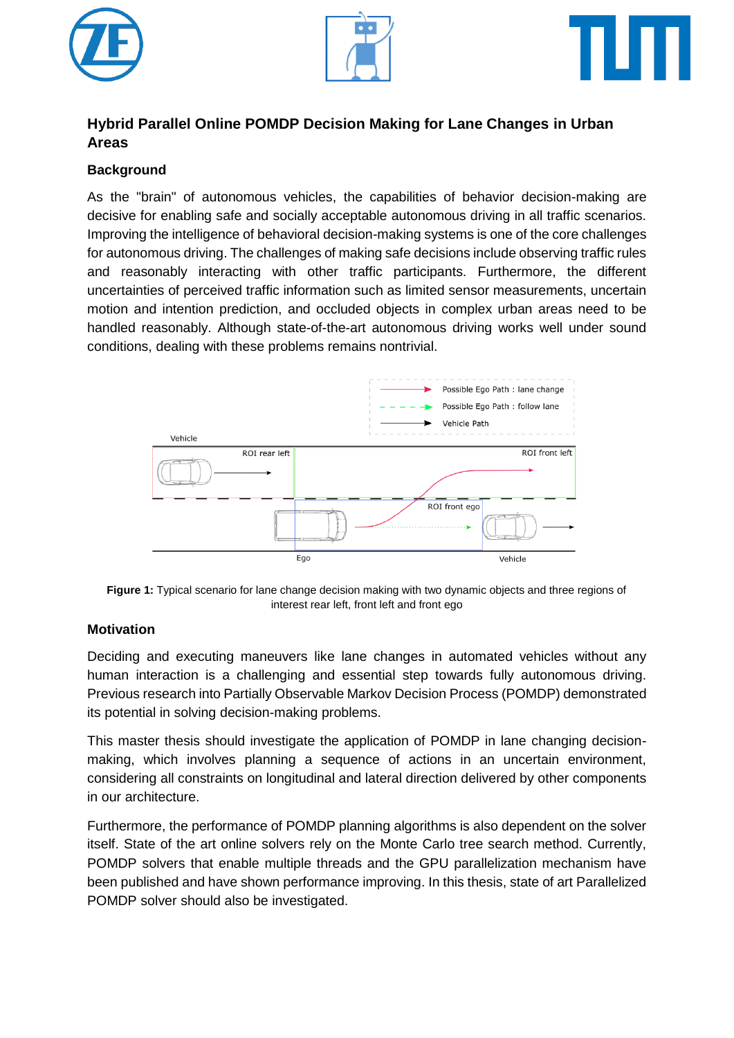





# **Hybrid Parallel Online POMDP Decision Making for Lane Changes in Urban Areas**

## **Background**

As the "brain" of autonomous vehicles, the capabilities of behavior decision-making are decisive for enabling safe and socially acceptable autonomous driving in all traffic scenarios. Improving the intelligence of behavioral decision-making systems is one of the core challenges for autonomous driving. The challenges of making safe decisions include observing traffic rules and reasonably interacting with other traffic participants. Furthermore, the different uncertainties of perceived traffic information such as limited sensor measurements, uncertain motion and intention prediction, and occluded objects in complex urban areas need to be handled reasonably. Although state-of-the-art autonomous driving works well under sound conditions, dealing with these problems remains nontrivial.



**Figure 1:** Typical scenario for lane change decision making with two dynamic objects and three regions of interest rear left, front left and front ego

#### **Motivation**

Deciding and executing maneuvers like lane changes in automated vehicles without any human interaction is a challenging and essential step towards fully autonomous driving. Previous research into Partially Observable Markov Decision Process (POMDP) demonstrated its potential in solving decision-making problems.

This master thesis should investigate the application of POMDP in lane changing decisionmaking, which involves planning a sequence of actions in an uncertain environment, considering all constraints on longitudinal and lateral direction delivered by other components in our architecture.

Furthermore, the performance of POMDP planning algorithms is also dependent on the solver itself. State of the art online solvers rely on the Monte Carlo tree search method. Currently, POMDP solvers that enable multiple threads and the GPU parallelization mechanism have been published and have shown performance improving. In this thesis, state of art Parallelized POMDP solver should also be investigated.